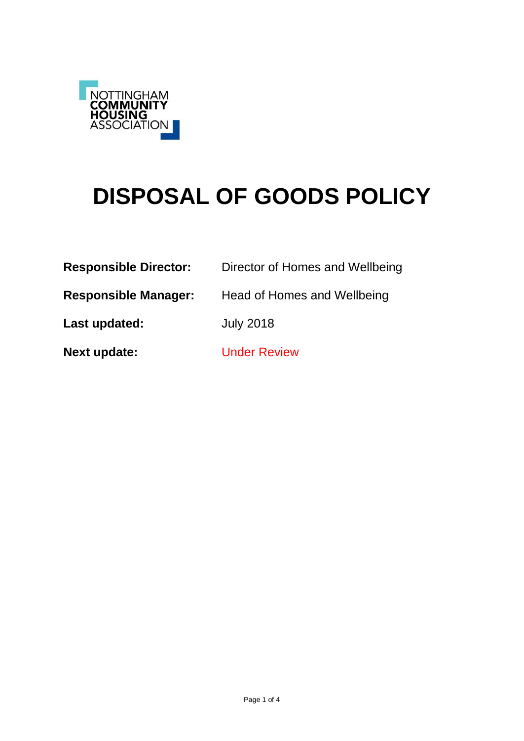

# **DISPOSAL OF GOODS POLICY**

| <b>Responsible Director:</b> | Director of Homes and Wellbeing |
|------------------------------|---------------------------------|
| <b>Responsible Manager:</b>  | Head of Homes and Wellbeing     |
| Last updated:                | <b>July 2018</b>                |
| <b>Next update:</b>          | <b>Under Review</b>             |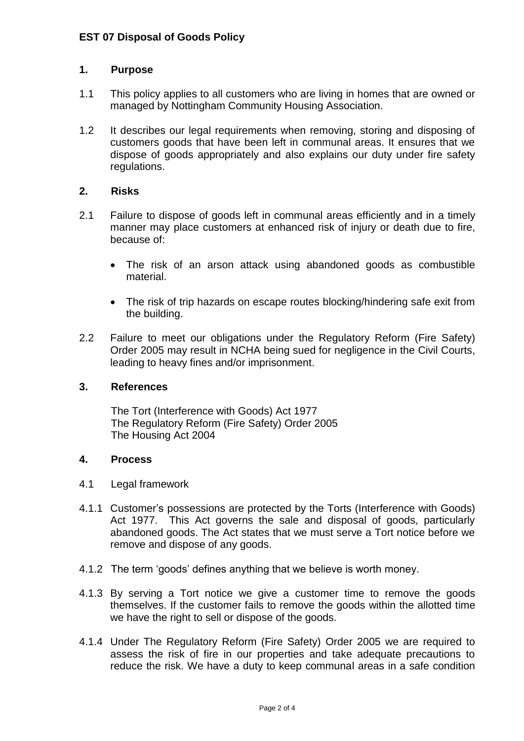## **1. Purpose**

- 1.1 This policy applies to all customers who are living in homes that are owned or managed by Nottingham Community Housing Association.
- 1.2 It describes our legal requirements when removing, storing and disposing of customers goods that have been left in communal areas. It ensures that we dispose of goods appropriately and also explains our duty under fire safety regulations.

## **2. Risks**

- 2.1 Failure to dispose of goods left in communal areas efficiently and in a timely manner may place customers at enhanced risk of injury or death due to fire, because of:
	- The risk of an arson attack using abandoned goods as combustible material.
	- The risk of trip hazards on escape routes blocking/hindering safe exit from the building.
- 2.2 Failure to meet our obligations under the Regulatory Reform (Fire Safety) Order 2005 may result in NCHA being sued for negligence in the Civil Courts, leading to heavy fines and/or imprisonment.

### **3. References**

The Tort (Interference with Goods) Act 1977 The Regulatory Reform (Fire Safety) Order 2005 The Housing Act 2004

### **4. Process**

- 4.1 Legal framework
- 4.1.1 Customer's possessions are protected by the Torts (Interference with Goods) Act 1977. This Act governs the sale and disposal of goods, particularly abandoned goods. The Act states that we must serve a Tort notice before we remove and dispose of any goods.
- 4.1.2 The term 'goods' defines anything that we believe is worth money.
- 4.1.3 By serving a Tort notice we give a customer time to remove the goods themselves. If the customer fails to remove the goods within the allotted time we have the right to sell or dispose of the goods.
- 4.1.4 Under The Regulatory Reform (Fire Safety) Order 2005 we are required to assess the risk of fire in our properties and take adequate precautions to reduce the risk. We have a duty to keep communal areas in a safe condition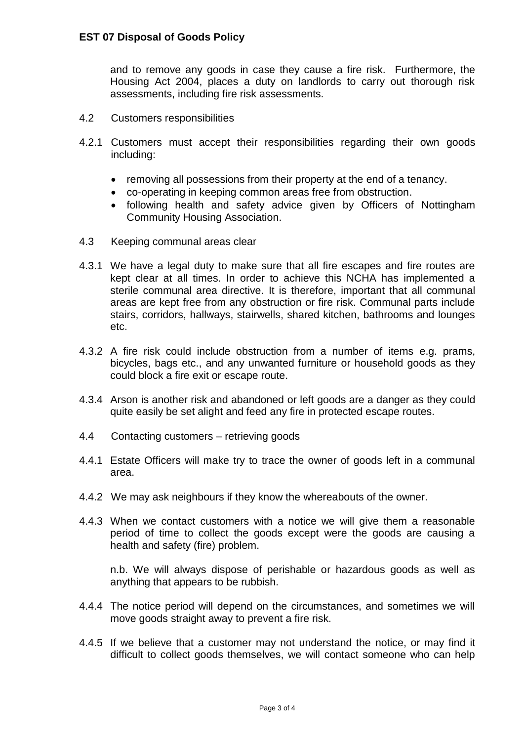and to remove any goods in case they cause a fire risk. Furthermore, the Housing Act 2004, places a duty on landlords to carry out thorough risk assessments, including fire risk assessments.

- 4.2 Customers responsibilities
- 4.2.1 Customers must accept their responsibilities regarding their own goods including:
	- removing all possessions from their property at the end of a tenancy.
	- co-operating in keeping common areas free from obstruction.
	- following health and safety advice given by Officers of Nottingham Community Housing Association.
- 4.3 Keeping communal areas clear
- 4.3.1 We have a legal duty to make sure that all fire escapes and fire routes are kept clear at all times. In order to achieve this NCHA has implemented a sterile communal area directive. It is therefore, important that all communal areas are kept free from any obstruction or fire risk. Communal parts include stairs, corridors, hallways, stairwells, shared kitchen, bathrooms and lounges etc.
- 4.3.2 A fire risk could include obstruction from a number of items e.g. prams, bicycles, bags etc., and any unwanted furniture or household goods as they could block a fire exit or escape route.
- 4.3.4 Arson is another risk and abandoned or left goods are a danger as they could quite easily be set alight and feed any fire in protected escape routes.
- 4.4 Contacting customers retrieving goods
- 4.4.1 Estate Officers will make try to trace the owner of goods left in a communal area.
- 4.4.2 We may ask neighbours if they know the whereabouts of the owner.
- 4.4.3 When we contact customers with a notice we will give them a reasonable period of time to collect the goods except were the goods are causing a health and safety (fire) problem.

n.b. We will always dispose of perishable or hazardous goods as well as anything that appears to be rubbish.

- 4.4.4 The notice period will depend on the circumstances, and sometimes we will move goods straight away to prevent a fire risk.
- 4.4.5 If we believe that a customer may not understand the notice, or may find it difficult to collect goods themselves, we will contact someone who can help